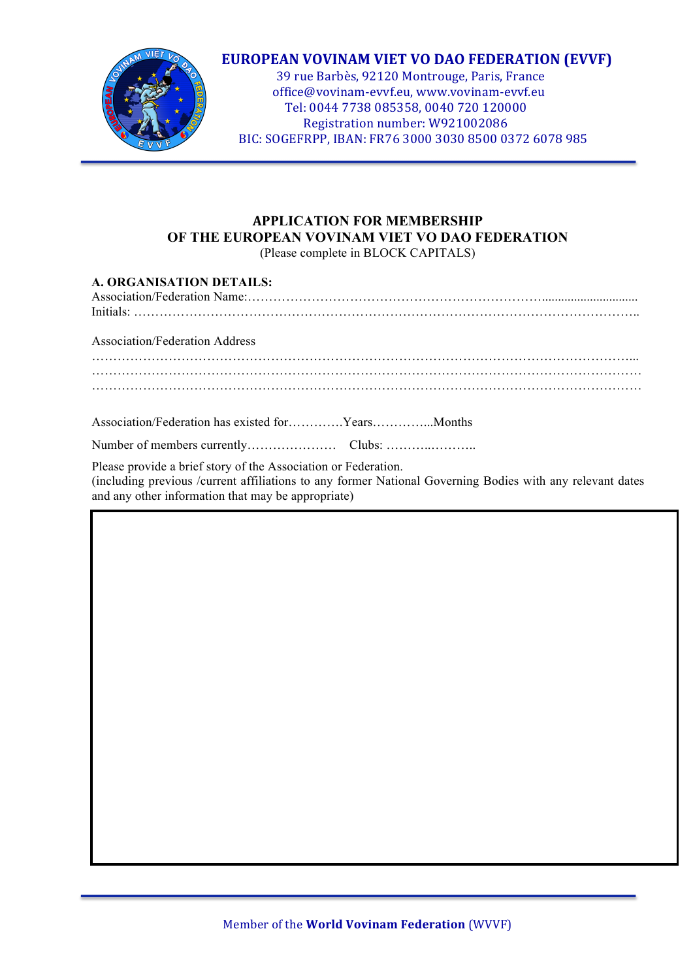

### **EUROPEAN VOVINAM VIET VO DAO FEDERATION (EVVF)**

39 rue Barbès, 92120 Montrouge, Paris, France office@vovinam-evvf.eu, www.vovinam-evvf.eu Tel: 0044 7738 085358, 0040 720 120000 Registration number: W921002086 BIC: SOGEFRPP, IBAN: FR76 3000 3030 8500 0372 6078 985

## **APPLICATION FOR MEMBERSHIP OF THE EUROPEAN VOVINAM VIET VO DAO FEDERATION**

(Please complete in BLOCK CAPITALS)

| A. ORGANISATION DETAILS:                                                                                                                                                                                                          |
|-----------------------------------------------------------------------------------------------------------------------------------------------------------------------------------------------------------------------------------|
|                                                                                                                                                                                                                                   |
| Association/Federation Address                                                                                                                                                                                                    |
|                                                                                                                                                                                                                                   |
|                                                                                                                                                                                                                                   |
|                                                                                                                                                                                                                                   |
|                                                                                                                                                                                                                                   |
| Please provide a brief story of the Association or Federation.<br>(including previous /current affiliations to any former National Governing Bodies with any relevant dates<br>and any other information that may be appropriate) |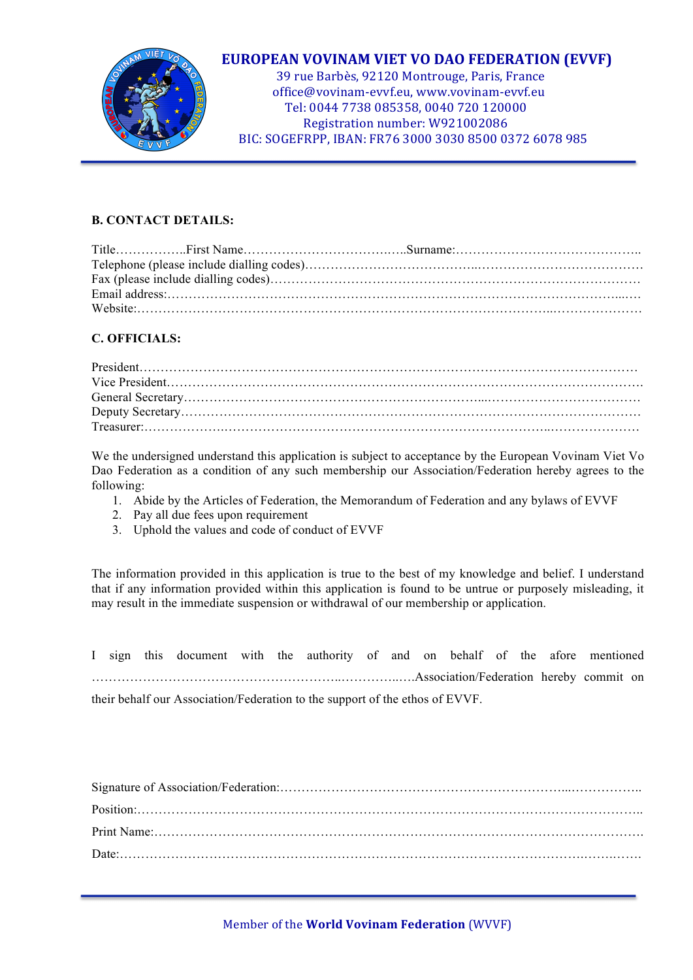

### **EUROPEAN VOVINAM VIET VO DAO FEDERATION (EVVF)**

39 rue Barbès, 92120 Montrouge, Paris, France office@vovinam-evvf.eu, www.vovinam-evvf.eu Tel: 0044 7738 085358, 0040 720 120000 Registration number: W921002086 BIC: SOGEFRPP, IBAN: FR76 3000 3030 8500 0372 6078 985

#### **B. CONTACT DETAILS:**

#### **C. OFFICIALS:**

We the undersigned understand this application is subject to acceptance by the European Vovinam Viet Vo Dao Federation as a condition of any such membership our Association/Federation hereby agrees to the following:

- 1. Abide by the Articles of Federation, the Memorandum of Federation and any bylaws of EVVF
- 2. Pay all due fees upon requirement
- 3. Uphold the values and code of conduct of EVVF

The information provided in this application is true to the best of my knowledge and belief. I understand that if any information provided within this application is found to be untrue or purposely misleading, it may result in the immediate suspension or withdrawal of our membership or application.

I sign this document with the authority of and on behalf of the afore mentioned …………………………………………………..…………..….Association/Federation hereby commit on their behalf our Association/Federation to the support of the ethos of EVVF.